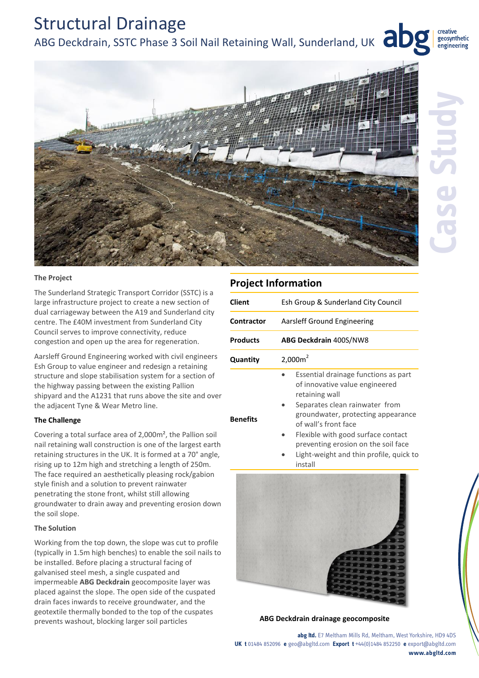# Structural Drainage ABG Deckdrain, SSTC Phase 3 Soil Nail Retaining Wall, Sunderland, UK **abget**



creative geosynthetic engineering

#### **The Project**

The Sunderland Strategic Transport Corridor (SSTC) is a large infrastructure project to create a new section of dual carriageway between the A19 and Sunderland city centre. The £40M investment from Sunderland City Council serves to improve connectivity, reduce congestion and open up the area for regeneration.

Aarsleff Ground Engineering worked with civil engineers Esh Group to value engineer and redesign a retaining structure and slope stabilisation system for a section of the highway passing between the existing Pallion shipyard and the A1231 that runs above the site and over the adjacent Tyne & Wear Metro line.

## **The Challenge**

Covering a total surface area of 2,000m², the Pallion soil nail retaining wall construction is one of the largest earth retaining structures in the UK. It is formed at a 70° angle, rising up to 12m high and stretching a length of 250m. The face required an aesthetically pleasing rock/gabion style finish and a solution to prevent rainwater penetrating the stone front, whilst still allowing groundwater to drain away and preventing erosion down the soil slope.

#### **The Solution**

Working from the top down, the slope was cut to profile (typically in 1.5m high benches) to enable the soil nails to be installed. Before placing a structural facing of galvanised steel mesh, a single cuspated and impermeable **ABG Deckdrain** geocomposite layer was placed against the slope. The open side of the cuspated drain faces inwards to receive groundwater, and the geotextile thermally bonded to the top of the cuspates prevents washout, blocking larger soil particles **ABG Deckdrain drainage geocomposite**

|                   | <b>Project Information</b>                                                                                                                                                                                                                                                                                      |
|-------------------|-----------------------------------------------------------------------------------------------------------------------------------------------------------------------------------------------------------------------------------------------------------------------------------------------------------------|
| Client            | Esh Group & Sunderland City Council                                                                                                                                                                                                                                                                             |
| <b>Contractor</b> | Aarsleff Ground Engineering                                                                                                                                                                                                                                                                                     |
| <b>Products</b>   | <b>ABG Deckdrain 400S/NW8</b>                                                                                                                                                                                                                                                                                   |
| Quantity          | 2,000m <sup>2</sup>                                                                                                                                                                                                                                                                                             |
| <b>Benefits</b>   | Essential drainage functions as part<br>of innovative value engineered<br>retaining wall<br>Separates clean rainwater from<br>groundwater, protecting appearance<br>of wall's front face<br>Flexible with good surface contact<br>preventing erosion on the soil face<br>ljøht-weight and thin nrofile muick to |





**abg ltd.** E7 Meltham Mills Rd, Meltham, West Yorkshire, HD9 4DS **UK t** 01484 852096 **e** geo@abgltd.com **Export t** +44(0)1484 852250 **e** export@abgltd.com **www.abgltd.com**